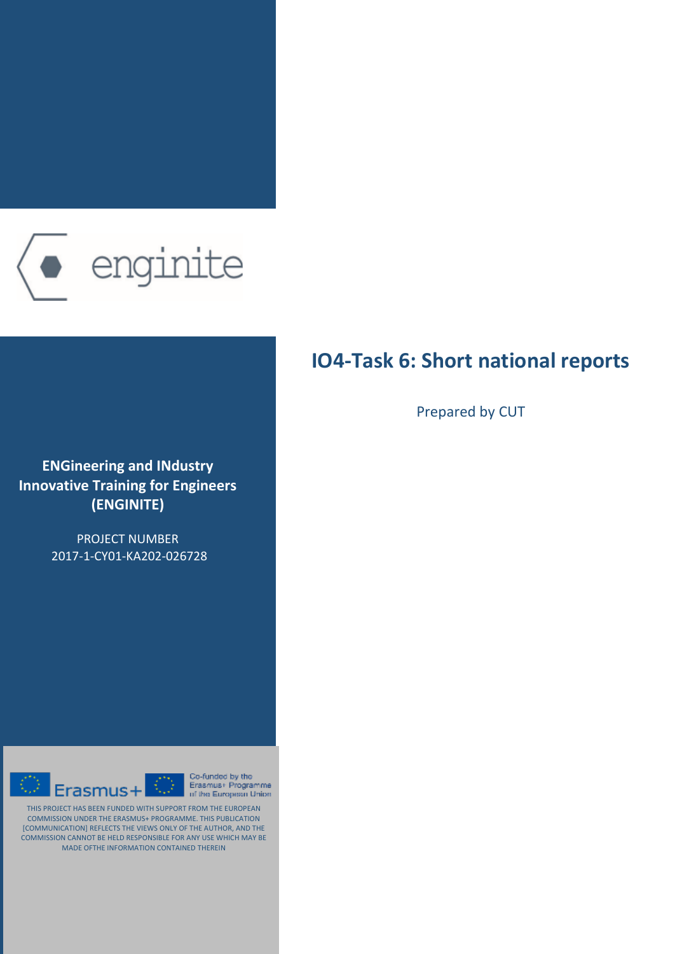

# **IO4-Task 6: Short national reports**

**ENGineering and IΝdustry Innovative Training for Engineers (ENGINITE)**

> PROJECT NUMBER 2017-1-CY01-KA202-026728



Co-funded by the ् Erasmus+ Programme of the European Union

THIS PROJECT HAS BEEN FUNDED WITH SUPPORT FROM THE EUROPEAN COMMISSION UNDER THE ERASMUS+ PROGRAMME. THIS PUBLICATION [COMMUNICATION] REFLECTS THE VIEWS ONLY OF THE AUTHOR, AND THE COMMISSION CANNOT BE HELD RESPONSIBLE FOR ANY USE WHICH MAY BE MADE OFTHE INFORMATION CONTAINED THEREIN

Prepared by CUT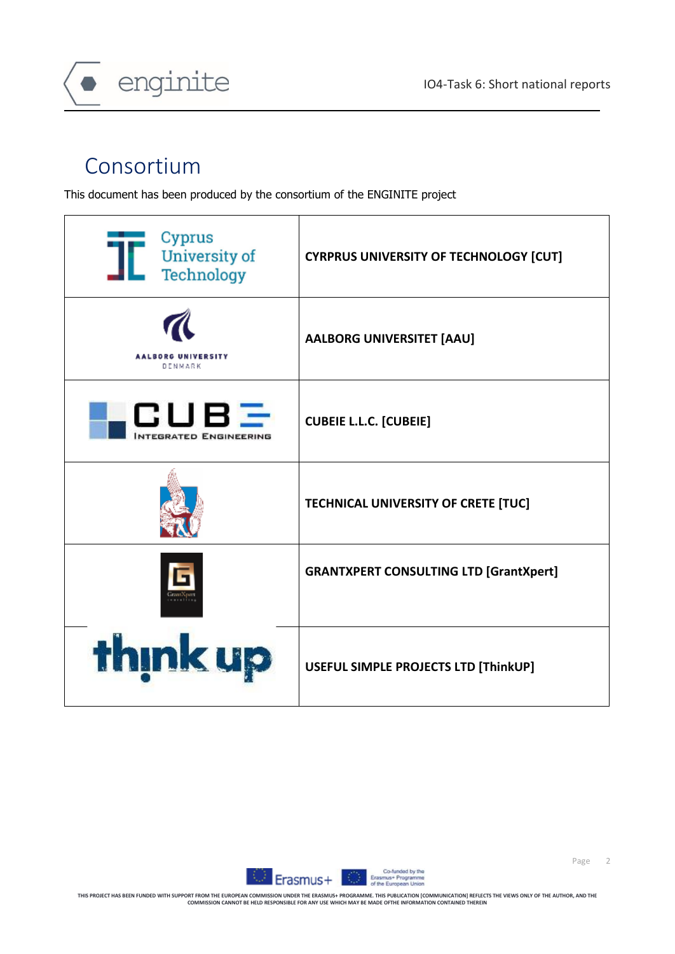

# Consortium

This document has been produced by the consortium of the ENGINITE project





Page 2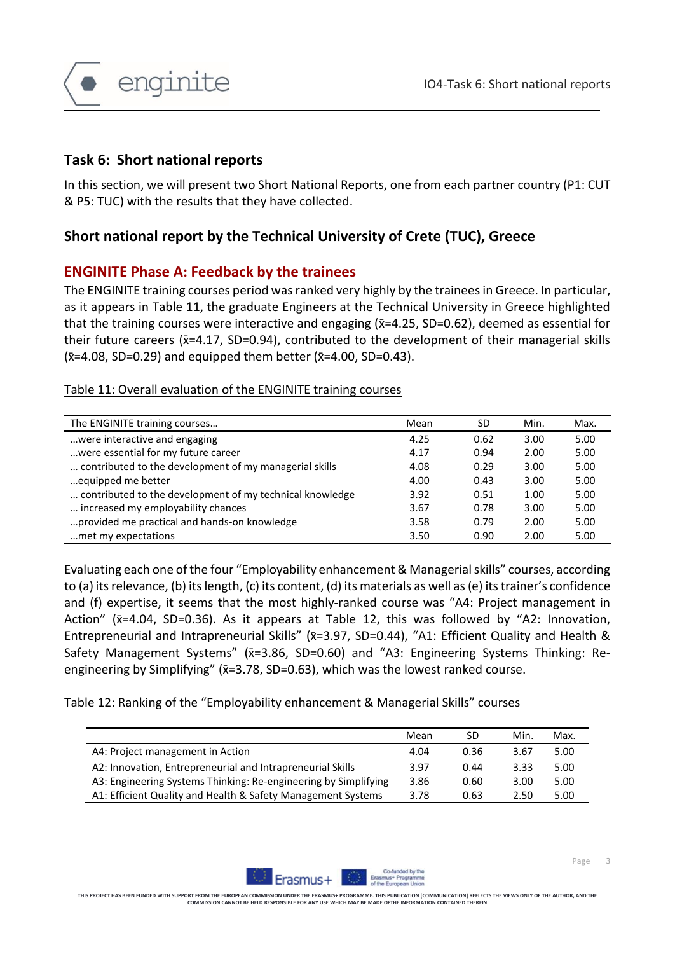

# **Task 6: Short national reports**

In this section, we will present two Short National Reports, one from each partner country (P1: CUT & P5: TUC) with the results that they have collected.

# **Short national report by the Technical University of Crete (TUC), Greece**

# **ENGINITE Phase A: Feedback by the trainees**

The ENGINITE training courses period was ranked very highly by the trainees in Greece. In particular, as it appears in Table 11, the graduate Engineers at the Technical University in Greece highlighted that the training courses were interactive and engaging  $(\bar{x}=4.25, SD=0.62)$ , deemed as essential for their future careers ( $\bar{x}$ =4.17, SD=0.94), contributed to the development of their managerial skills  $({\bar{x}}=4.08,$  SD=0.29) and equipped them better  $({\bar{x}}=4.00,$  SD=0.43).

#### Table 11: Overall evaluation of the ENGINITE training courses

| The ENGINITE training courses                            | Mean | SD.  | Min. | Max. |
|----------------------------------------------------------|------|------|------|------|
| were interactive and engaging                            | 4.25 | 0.62 | 3.00 | 5.00 |
| were essential for my future career                      | 4.17 | 0.94 | 2.00 | 5.00 |
| contributed to the development of my managerial skills   | 4.08 | 0.29 | 3.00 | 5.00 |
| equipped me better                                       | 4.00 | 0.43 | 3.00 | 5.00 |
| contributed to the development of my technical knowledge | 3.92 | 0.51 | 1.00 | 5.00 |
| increased my employability chances                       | 3.67 | 0.78 | 3.00 | 5.00 |
| provided me practical and hands-on knowledge             | 3.58 | 0.79 | 2.00 | 5.00 |
| met my expectations                                      | 3.50 | 0.90 | 2.00 | 5.00 |

Evaluating each one of the four "Employability enhancement & Managerial skills" courses, according to (a) its relevance, (b) its length, (c) its content, (d) its materials as well as(e) its trainer's confidence and (f) expertise, it seems that the most highly-ranked course was "A4: Project management in Action"  $(x=4.04, SD=0.36)$ . As it appears at Table 12, this was followed by "A2: Innovation, Entrepreneurial and Intrapreneurial Skills" (x=3.97, SD=0.44), "A1: Efficient Quality and Health & Safety Management Systems" (x=3.86, SD=0.60) and "A3: Engineering Systems Thinking: Reengineering by Simplifying" (x=3.78, SD=0.63), which was the lowest ranked course.

## Table 12: Ranking of the "Employability enhancement & Managerial Skills" courses

|                                                                 | Mean | SD   | Min. | Max. |
|-----------------------------------------------------------------|------|------|------|------|
| A4: Project management in Action                                | 4.04 | 0.36 | 3.67 | 5.00 |
| A2: Innovation, Entrepreneurial and Intrapreneurial Skills      | 3.97 | 0.44 | 3.33 | 5.00 |
| A3: Engineering Systems Thinking: Re-engineering by Simplifying | 3.86 | 0.60 | 3.00 | 5.00 |
| A1: Efficient Quality and Health & Safety Management Systems    | 3.78 | 0.63 | 2.50 | 5.00 |

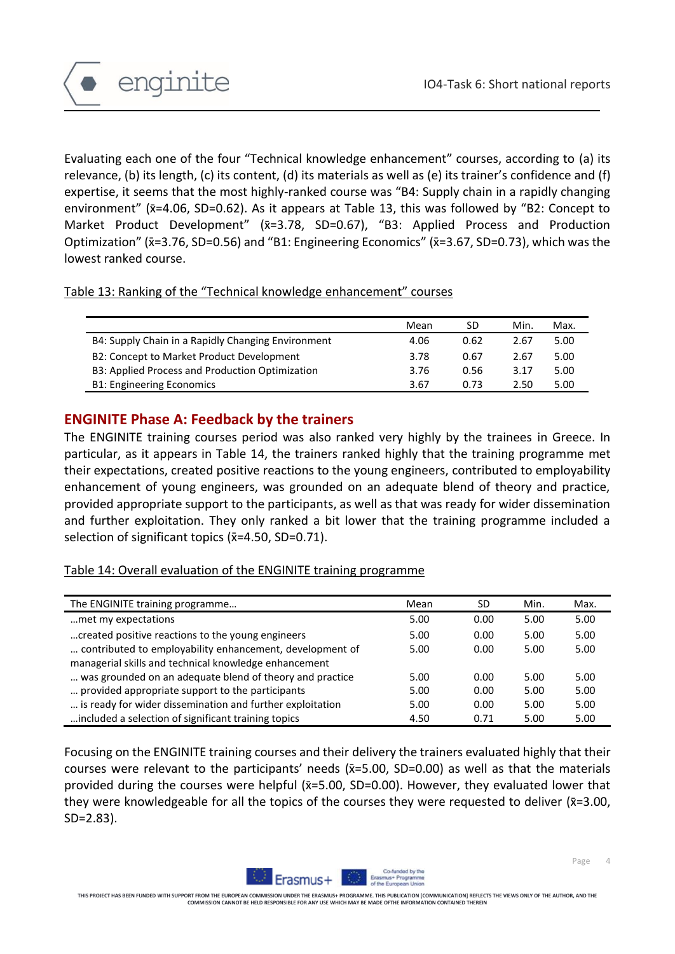

Evaluating each one of the four "Technical knowledge enhancement" courses, according to (a) its relevance, (b) its length, (c) its content, (d) its materials as well as (e) its trainer's confidence and (f) expertise, it seems that the most highly-ranked course was "B4: Supply chain in a rapidly changing environment" (x̄=4.06, SD=0.62). As it appears at Table 13, this was followed by "B2: Concept to Market Product Development" (x=3.78, SD=0.67), "B3: Applied Process and Production Optimization" ( $\bar{x}$ =3.76, SD=0.56) and "B1: Engineering Economics" ( $\bar{x}$ =3.67, SD=0.73), which was the lowest ranked course.

#### Table 13: Ranking of the "Technical knowledge enhancement" courses

|                                                    | Mean | SD   | Min. | Max. |
|----------------------------------------------------|------|------|------|------|
| B4: Supply Chain in a Rapidly Changing Environment | 4.06 | 0.62 | 2.67 | 5.00 |
| B2: Concept to Market Product Development          | 3.78 | 0.67 | 2.67 | 5.00 |
| B3: Applied Process and Production Optimization    | 3.76 | 0.56 | 3.17 | 5.00 |
| <b>B1: Engineering Economics</b>                   | 3.67 | 0.73 | 2.50 | 5.00 |

# **ENGINITE Phase A: Feedback by the trainers**

The ENGINITE training courses period was also ranked very highly by the trainees in Greece. In particular, as it appears in Table 14, the trainers ranked highly that the training programme met their expectations, created positive reactions to the young engineers, contributed to employability enhancement of young engineers, was grounded on an adequate blend of theory and practice, provided appropriate support to the participants, as well as that was ready for wider dissemination and further exploitation. They only ranked a bit lower that the training programme included a selection of significant topics ( $\bar{x}$ =4.50, SD=0.71).

## Table 14: Overall evaluation of the ENGINITE training programme

| The ENGINITE training programme                           | Mean | <b>SD</b> | Min. | Max. |
|-----------------------------------------------------------|------|-----------|------|------|
| met my expectations                                       | 5.00 | 0.00      | 5.00 | 5.00 |
| created positive reactions to the young engineers         | 5.00 | 0.00      | 5.00 | 5.00 |
| contributed to employability enhancement, development of  | 5.00 | 0.00      | 5.00 | 5.00 |
| managerial skills and technical knowledge enhancement     |      |           |      |      |
| was grounded on an adequate blend of theory and practice  | 5.00 | 0.00      | 5.00 | 5.00 |
| provided appropriate support to the participants          | 5.00 | 0.00      | 5.00 | 5.00 |
| is ready for wider dissemination and further exploitation | 5.00 | 0.00      | 5.00 | 5.00 |
| included a selection of significant training topics       | 4.50 | 0.71      | 5.00 | 5.00 |

Focusing on the ENGINITE training courses and their delivery the trainers evaluated highly that their courses were relevant to the participants' needs  $(x=5.00, SD=0.00)$  as well as that the materials provided during the courses were helpful ( $\bar{x}$ =5.00, SD=0.00). However, they evaluated lower that they were knowledgeable for all the topics of the courses they were requested to deliver ( $\bar{x}$ =3.00, SD=2.83).



**THIS PROJECT HAS BEEN FUNDED WITH SUPPORT FROM THE EUROPEAN COMMISSION UNDER THE ERASMUS+ PROGRAMME. THIS PUBLICATION [COMMUNICATION] REFLECTS THE VIEWS ONLY OF THE AUTHOR, AND THE COMMISSION CANNOT BE HELD RESPONSIBLE FOR ANY USE WHICH MAY BE MADE OFTHE I**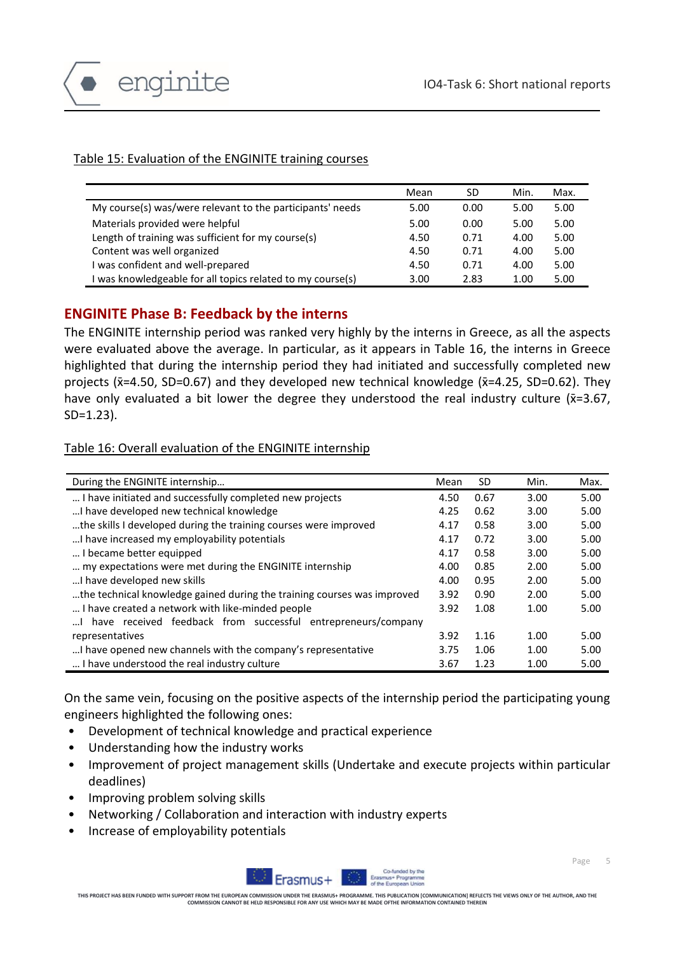

#### Table 15: Evaluation of the ENGINITE training courses

|                                                           | Mean | SD   | Min. | Max. |
|-----------------------------------------------------------|------|------|------|------|
| My course(s) was/were relevant to the participants' needs | 5.00 | 0.00 | 5.00 | 5.00 |
| Materials provided were helpful                           | 5.00 | 0.00 | 5.00 | 5.00 |
| Length of training was sufficient for my course(s)        | 4.50 | 0.71 | 4.00 | 5.00 |
| Content was well organized                                | 4.50 | 0.71 | 4.00 | 5.00 |
| I was confident and well-prepared                         | 4.50 | 0.71 | 4.00 | 5.00 |
| was knowledgeable for all topics related to my course(s)  | 3.00 | 2.83 | 1.00 | 5.00 |

## **ENGINITE Phase B: Feedback by the interns**

The ENGINITE internship period was ranked very highly by the interns in Greece, as all the aspects were evaluated above the average. In particular, as it appears in Table 16, the interns in Greece highlighted that during the internship period they had initiated and successfully completed new projects ( $\bar{x}$ =4.50, SD=0.67) and they developed new technical knowledge ( $\bar{x}$ =4.25, SD=0.62). They have only evaluated a bit lower the degree they understood the real industry culture ( $\bar{x}$ =3.67, SD=1.23).

#### Table 16: Overall evaluation of the ENGINITE internship

| During the ENGINITE internship                                          | Mean | <b>SD</b> | Min. | Max. |
|-------------------------------------------------------------------------|------|-----------|------|------|
| I have initiated and successfully completed new projects                | 4.50 | 0.67      | 3.00 | 5.00 |
| I have developed new technical knowledge                                | 4.25 | 0.62      | 3.00 | 5.00 |
| the skills I developed during the training courses were improved        | 4.17 | 0.58      | 3.00 | 5.00 |
| I have increased my employability potentials                            | 4.17 | 0.72      | 3.00 | 5.00 |
| I became better equipped                                                | 4.17 | 0.58      | 3.00 | 5.00 |
| my expectations were met during the ENGINITE internship                 | 4.00 | 0.85      | 2.00 | 5.00 |
| I have developed new skills                                             | 4.00 | 0.95      | 2.00 | 5.00 |
| the technical knowledge gained during the training courses was improved | 3.92 | 0.90      | 2.00 | 5.00 |
| I have created a network with like-minded people                        | 3.92 | 1.08      | 1.00 | 5.00 |
| have received feedback from successful entrepreneurs/company            |      |           |      |      |
| representatives                                                         | 3.92 | 1.16      | 1.00 | 5.00 |
| I have opened new channels with the company's representative            | 3.75 | 1.06      | 1.00 | 5.00 |
| I have understood the real industry culture                             | 3.67 | 1.23      | 1.00 | 5.00 |

On the same vein, focusing on the positive aspects of the internship period the participating young engineers highlighted the following ones:

- Development of technical knowledge and practical experience
- Understanding how the industry works
- Improvement of project management skills (Undertake and execute projects within particular deadlines)
- Improving problem solving skills
- Networking / Collaboration and interaction with industry experts
- Increase of employability potentials



THIS PROJECT HAS BEEN FUNDED WITH SUPPORT FROM THE EUROPEAN COMMISSION UNDER THE ERASMUS+ PROGRAMME. THIS PUBLICATION [COMMUNICATION] REFLECTS THE VIEWS ONLY OF THE AUTHOR, AND THE<br>COMMISSION CANNOT BE HILD RESPONSIEL FOR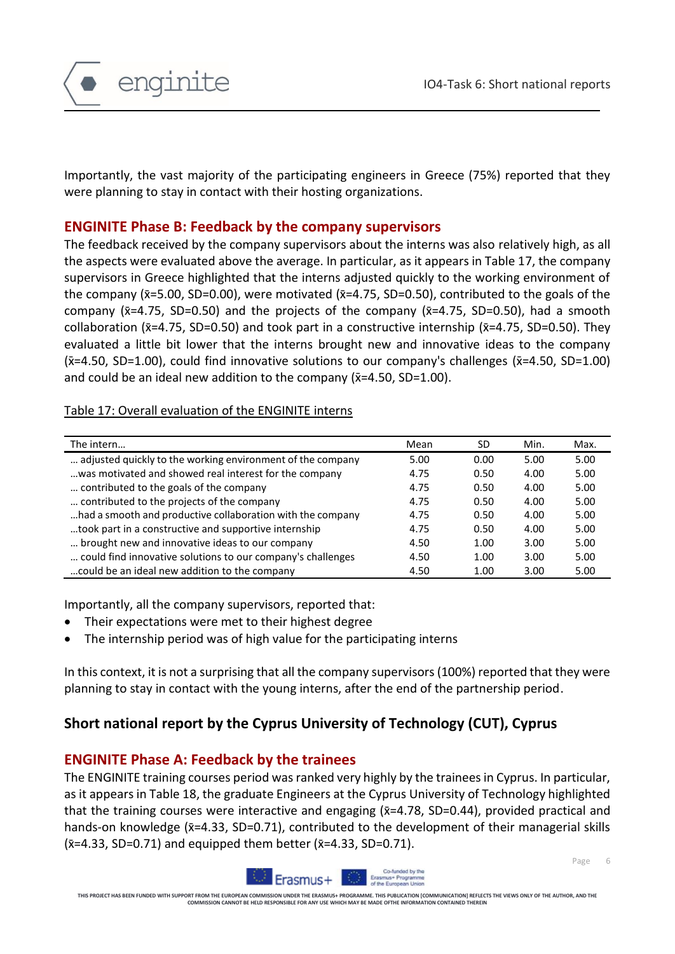

Importantly, the vast majority of the participating engineers in Greece (75%) reported that they were planning to stay in contact with their hosting organizations.

# **ENGINITE Phase B: Feedback by the company supervisors**

The feedback received by the company supervisors about the interns was also relatively high, as all the aspects were evaluated above the average. In particular, as it appears in Table 17, the company supervisors in Greece highlighted that the interns adjusted quickly to the working environment of the company ( $\bar{x}$ =5.00, SD=0.00), were motivated ( $\bar{x}$ =4.75, SD=0.50), contributed to the goals of the company ( $\bar{x}$ =4.75, SD=0.50) and the projects of the company ( $\bar{x}$ =4.75, SD=0.50), had a smooth collaboration ( $\bar{x}$ =4.75, SD=0.50) and took part in a constructive internship ( $\bar{x}$ =4.75, SD=0.50). They evaluated a little bit lower that the interns brought new and innovative ideas to the company  $(\bar{x}=4.50, SD=1.00)$ , could find innovative solutions to our company's challenges ( $\bar{x}=4.50$ , SD=1.00) and could be an ideal new addition to the company  $(\bar{x}=4.50, SD=1.00)$ .

## Table 17: Overall evaluation of the ENGINITE interns

| The intern                                                  | Mean | SD   | Min. | Max. |
|-------------------------------------------------------------|------|------|------|------|
| adjusted quickly to the working environment of the company  | 5.00 | 0.00 | 5.00 | 5.00 |
| was motivated and showed real interest for the company      | 4.75 | 0.50 | 4.00 | 5.00 |
| contributed to the goals of the company                     | 4.75 | 0.50 | 4.00 | 5.00 |
| contributed to the projects of the company                  | 4.75 | 0.50 | 4.00 | 5.00 |
| had a smooth and productive collaboration with the company  | 4.75 | 0.50 | 4.00 | 5.00 |
| took part in a constructive and supportive internship       | 4.75 | 0.50 | 4.00 | 5.00 |
| brought new and innovative ideas to our company             | 4.50 | 1.00 | 3.00 | 5.00 |
| could find innovative solutions to our company's challenges | 4.50 | 1.00 | 3.00 | 5.00 |
| could be an ideal new addition to the company               | 4.50 | 1.00 | 3.00 | 5.00 |

Importantly, all the company supervisors, reported that:

- Their expectations were met to their highest degree
- The internship period was of high value for the participating interns

In this context, it is not a surprising that all the company supervisors (100%) reported that they were planning to stay in contact with the young interns, after the end of the partnership period.

# **Short national report by the Cyprus University of Technology (CUT), Cyprus**

# **ENGINITE Phase A: Feedback by the trainees**

The ENGINITE training courses period was ranked very highly by the trainees in Cyprus. In particular, as it appears in Table 18, the graduate Engineers at the Cyprus University of Technology highlighted that the training courses were interactive and engaging  $(x=4.78, SD=0.44)$ , provided practical and hands-on knowledge ( $\bar{x}$ =4.33, SD=0.71), contributed to the development of their managerial skills  $(\bar{x}=4.33, SD=0.71)$  and equipped them better  $(\bar{x}=4.33, SD=0.71)$ .



Page 6

THIS PROJECT HAS BEEN FUNDED WITH SUPPORT FROM THE EUROPEAN COMMISSION UNDER THE ERASMUS+ PROGRAMME. THIS PUBLICATION [COMMUNICATION] REFLECTS THE VIEWS ONLY OF THE AUTHOR, AND THE<br>COMMISSION CANNOT BE HILD RESPONSIEL FOR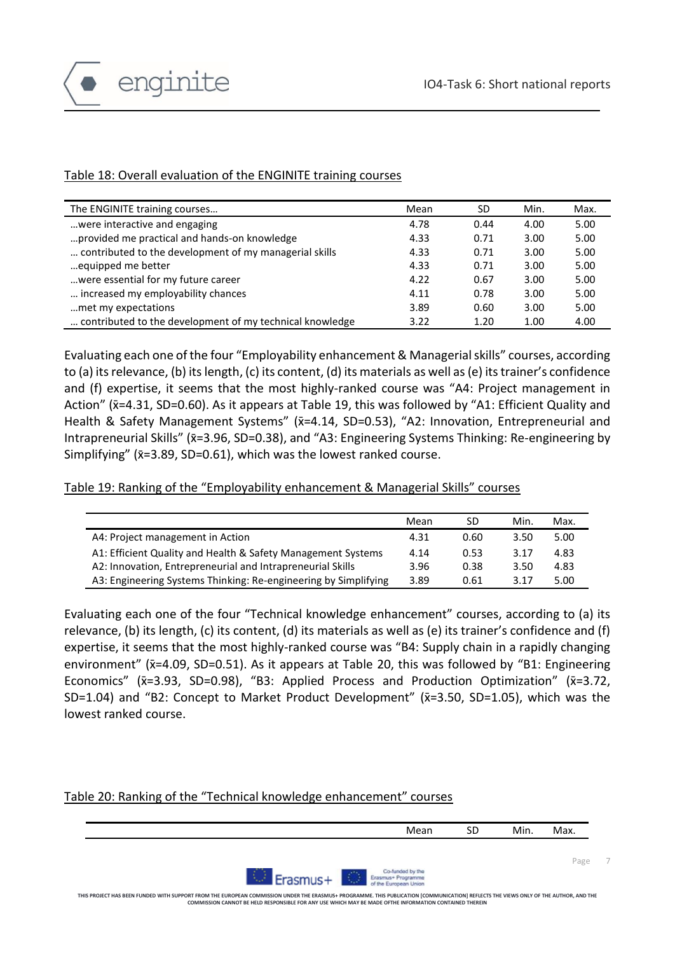

#### Table 18: Overall evaluation of the ENGINITE training courses

| The ENGINITE training courses                            | Mean | SD   | Min. | Max. |
|----------------------------------------------------------|------|------|------|------|
| were interactive and engaging                            | 4.78 | 0.44 | 4.00 | 5.00 |
| provided me practical and hands-on knowledge             | 4.33 | 0.71 | 3.00 | 5.00 |
| contributed to the development of my managerial skills   | 4.33 | 0.71 | 3.00 | 5.00 |
| equipped me better                                       | 4.33 | 0.71 | 3.00 | 5.00 |
| were essential for my future career                      | 4.22 | 0.67 | 3.00 | 5.00 |
| increased my employability chances                       | 4.11 | 0.78 | 3.00 | 5.00 |
| met my expectations                                      | 3.89 | 0.60 | 3.00 | 5.00 |
| contributed to the development of my technical knowledge | 3.22 | 1.20 | 1.00 | 4.00 |

Evaluating each one of the four "Employability enhancement & Managerial skills" courses, according to (a) its relevance, (b) its length, (c) its content, (d) its materials as well as (e) its trainer's confidence and (f) expertise, it seems that the most highly-ranked course was "A4: Project management in Action" ( $\bar{x}$ =4.31, SD=0.60). As it appears at Table 19, this was followed by "A1: Efficient Quality and Health & Safety Management Systems" (x=4.14, SD=0.53), "A2: Innovation, Entrepreneurial and Intrapreneurial Skills" ( $\bar{x}$ =3.96, SD=0.38), and "A3: Engineering Systems Thinking: Re-engineering by Simplifying" ( $\bar{x}$ =3.89, SD=0.61), which was the lowest ranked course.

Table 19: Ranking of the "Employability enhancement & Managerial Skills" courses

|                                                                 | Mean | SD   | Min. | Max. |
|-----------------------------------------------------------------|------|------|------|------|
| A4: Project management in Action                                | 4.31 | 0.60 | 3.50 | 5.00 |
| A1: Efficient Quality and Health & Safety Management Systems    | 4.14 | 0.53 | 3.17 | 4.83 |
| A2: Innovation, Entrepreneurial and Intrapreneurial Skills      | 3.96 | 0.38 | 3.50 | 4.83 |
| A3: Engineering Systems Thinking: Re-engineering by Simplifying | 3.89 | 0.61 | 3.17 | 5.00 |

Evaluating each one of the four "Technical knowledge enhancement" courses, according to (a) its relevance, (b) its length, (c) its content, (d) its materials as well as (e) its trainer's confidence and (f) expertise, it seems that the most highly-ranked course was "B4: Supply chain in a rapidly changing environment" ( $\bar{x}$ =4.09, SD=0.51). As it appears at Table 20, this was followed by "B1: Engineering Economics" (x̄=3.93, SD=0.98), "B3: Applied Process and Production Optimization" (x̄=3.72, SD=1.04) and "B2: Concept to Market Product Development" (x̄=3.50, SD=1.05), which was the lowest ranked course.

#### Table 20: Ranking of the "Technical knowledge enhancement" courses



**THIS PROJECT HAS BEEN FUNDED WITH SUPPORT FROM THE EUROPEAN COMMISSION UNDER THE ERASMUS+ PROGRAMME. THIS PUBLICATION [COMMUNICATION] REFLECTS THE VIEWS ONLY OF THE AUTHOR, AND THE COMMISSION CANNOT BE HELD RESPONSIBLE FOR ANY USE WHICH MAY BE MADE OFTHE I**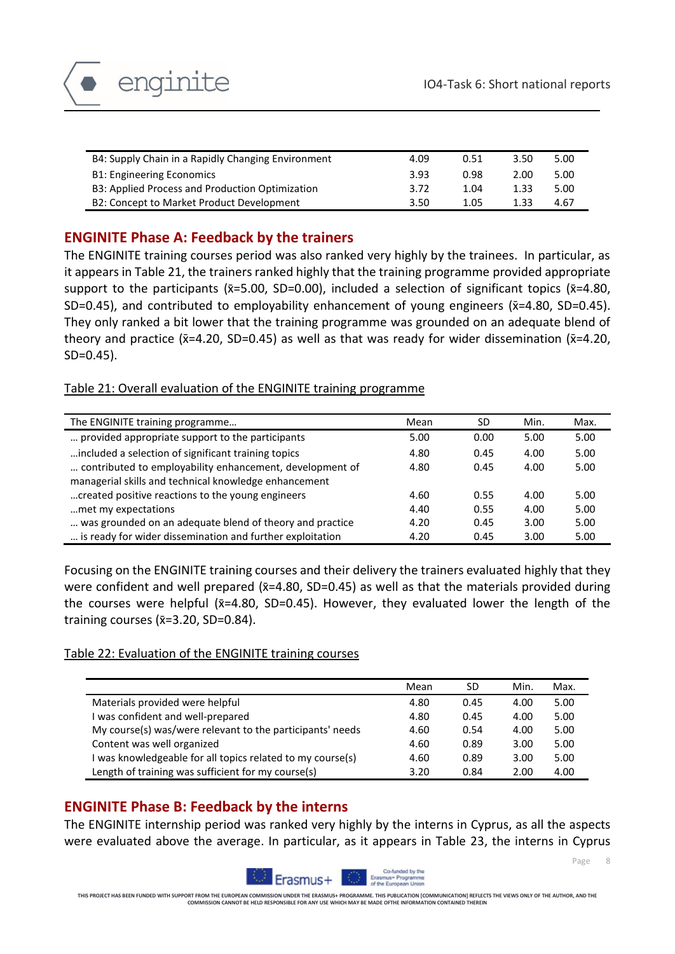



| B4: Supply Chain in a Rapidly Changing Environment | 4.09 | 0.51 | 3.50 | 5.00 |
|----------------------------------------------------|------|------|------|------|
| <b>B1: Engineering Economics</b>                   | 3.93 | 0.98 | 2.00 | 5.00 |
| B3: Applied Process and Production Optimization    | 3.72 | 1.04 | 1.33 | 5.00 |
| B2: Concept to Market Product Development          | 3.50 | 1.05 | 1 33 | 4.67 |

# **ENGINITE Phase A: Feedback by the trainers**

The ENGINITE training courses period was also ranked very highly by the trainees. In particular, as it appears in Table 21, the trainers ranked highly that the training programme provided appropriate support to the participants ( $\bar{x}$ =5.00, SD=0.00), included a selection of significant topics ( $\bar{x}$ =4.80, SD=0.45), and contributed to employability enhancement of young engineers ( $\bar{x}$ =4.80, SD=0.45). They only ranked a bit lower that the training programme was grounded on an adequate blend of theory and practice ( $\bar{x}$ =4.20, SD=0.45) as well as that was ready for wider dissemination ( $\bar{x}$ =4.20, SD=0.45).

#### Table 21: Overall evaluation of the ENGINITE training programme

| The ENGINITE training programme                           | Mean | SD.  | Min. | Max. |
|-----------------------------------------------------------|------|------|------|------|
| provided appropriate support to the participants          | 5.00 | 0.00 | 5.00 | 5.00 |
| included a selection of significant training topics       | 4.80 | 0.45 | 4.00 | 5.00 |
| contributed to employability enhancement, development of  | 4.80 | 0.45 | 4.00 | 5.00 |
| managerial skills and technical knowledge enhancement     |      |      |      |      |
| created positive reactions to the young engineers         | 4.60 | 0.55 | 4.00 | 5.00 |
| met my expectations.                                      | 4.40 | 0.55 | 4.00 | 5.00 |
| was grounded on an adequate blend of theory and practice  | 4.20 | 0.45 | 3.00 | 5.00 |
| is ready for wider dissemination and further exploitation | 4.20 | 0.45 | 3.00 | 5.00 |

Focusing on the ENGINITE training courses and their delivery the trainers evaluated highly that they were confident and well prepared ( $\bar{x}$ =4.80, SD=0.45) as well as that the materials provided during the courses were helpful ( $\bar{x}$ =4.80, SD=0.45). However, they evaluated lower the length of the training courses  $(x=3.20, SD=0.84)$ .

#### Table 22: Evaluation of the ENGINITE training courses

|                                                            | Mean | SD   | Min. | Max. |
|------------------------------------------------------------|------|------|------|------|
| Materials provided were helpful                            | 4.80 | 0.45 | 4.00 | 5.00 |
| I was confident and well-prepared                          | 4.80 | 0.45 | 4.00 | 5.00 |
| My course(s) was/were relevant to the participants' needs  | 4.60 | 0.54 | 4.00 | 5.00 |
| Content was well organized                                 | 4.60 | 0.89 | 3.00 | 5.00 |
| I was knowledgeable for all topics related to my course(s) | 4.60 | 0.89 | 3.00 | 5.00 |
| Length of training was sufficient for my course(s)         | 3.20 | 0.84 | 2.00 | 4.00 |

# **ENGINITE Phase B: Feedback by the interns**

The ENGINITE internship period was ranked very highly by the interns in Cyprus, as all the aspects were evaluated above the average. In particular, as it appears in Table 23, the interns in Cyprus



THIS PROJECT HAS BEEN FUNDED WITH SUPPORT FROM THE EUROPEAN COMMISSION UNDER THE ERASMUS+ PROGRAMME. THIS PUBLICATION [COMMUNICATION] REFLECTS THE VIEWS ONLY OF THE AUTHOR, AND THE<br>COMMISSION CANNOT BE HILD RESPONSIEL FOR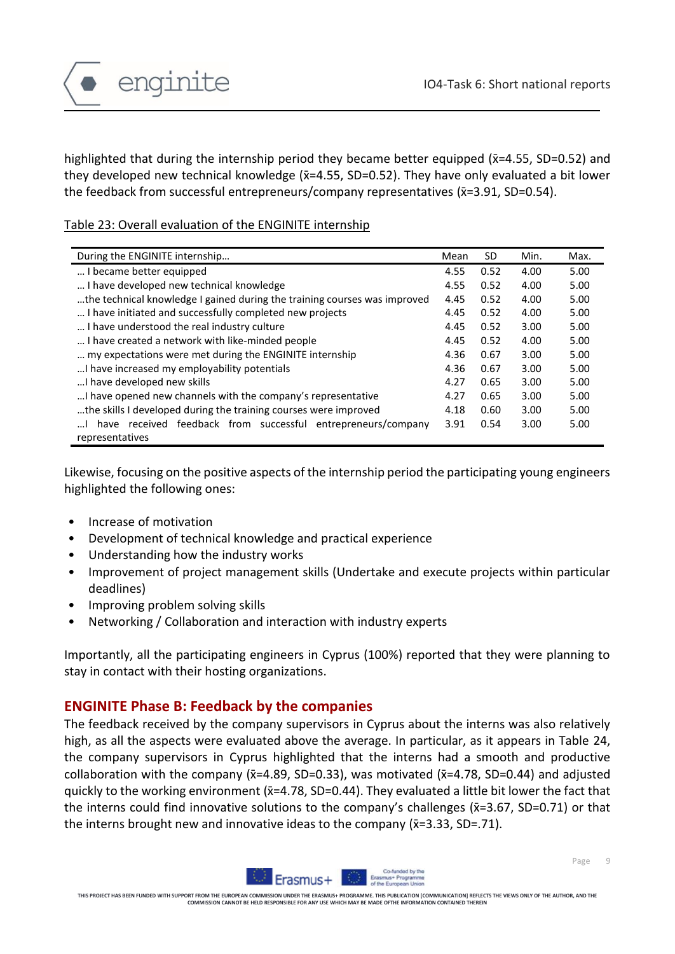

highlighted that during the internship period they became better equipped ( $\bar{x}$ =4.55, SD=0.52) and they developed new technical knowledge ( $\bar{x}$ =4.55, SD=0.52). They have only evaluated a bit lower the feedback from successful entrepreneurs/company representatives  $(x=3.91, SD=0.54)$ .

## Table 23: Overall evaluation of the ENGINITE internship

| During the ENGINITE internship                                            | Mean | <b>SD</b> | Min. | Max. |
|---------------------------------------------------------------------------|------|-----------|------|------|
| I became better equipped                                                  | 4.55 | 0.52      | 4.00 | 5.00 |
| I have developed new technical knowledge                                  | 4.55 | 0.52      | 4.00 | 5.00 |
| the technical knowledge I gained during the training courses was improved | 4.45 | 0.52      | 4.00 | 5.00 |
| I have initiated and successfully completed new projects                  | 4.45 | 0.52      | 4.00 | 5.00 |
| I have understood the real industry culture                               | 4.45 | 0.52      | 3.00 | 5.00 |
| I have created a network with like-minded people                          | 4.45 | 0.52      | 4.00 | 5.00 |
| my expectations were met during the ENGINITE internship                   | 4.36 | 0.67      | 3.00 | 5.00 |
| I have increased my employability potentials                              | 4.36 | 0.67      | 3.00 | 5.00 |
| I have developed new skills                                               | 4.27 | 0.65      | 3.00 | 5.00 |
| I have opened new channels with the company's representative              | 4.27 | 0.65      | 3.00 | 5.00 |
| the skills I developed during the training courses were improved          | 4.18 | 0.60      | 3.00 | 5.00 |
| have received feedback from successful entrepreneurs/company              | 3.91 | 0.54      | 3.00 | 5.00 |
| representatives                                                           |      |           |      |      |

Likewise, focusing on the positive aspects of the internship period the participating young engineers highlighted the following ones:

- Increase of motivation
- Development of technical knowledge and practical experience
- Understanding how the industry works
- Improvement of project management skills (Undertake and execute projects within particular deadlines)
- Improving problem solving skills
- Networking / Collaboration and interaction with industry experts

Importantly, all the participating engineers in Cyprus (100%) reported that they were planning to stay in contact with their hosting organizations.

# **ENGINITE Phase B: Feedback by the companies**

The feedback received by the company supervisors in Cyprus about the interns was also relatively high, as all the aspects were evaluated above the average. In particular, as it appears in Table 24, the company supervisors in Cyprus highlighted that the interns had a smooth and productive collaboration with the company ( $\bar{x}$ =4.89, SD=0.33), was motivated ( $\bar{x}$ =4.78, SD=0.44) and adjusted quickly to the working environment (x̄=4.78, SD=0.44). They evaluated a little bit lower the fact that the interns could find innovative solutions to the company's challenges ( $\bar{x}$ =3.67, SD=0.71) or that the interns brought new and innovative ideas to the company  $(x=3.33, SD=.71)$ .



**THIS PROJECT HAS BEEN FUNDED WITH SUPPORT FROM THE EUROPEAN COMMISSION UNDER THE ERASMUS+ PROGRAMME. THIS PUBLICATION [COMMUNICATION] REFLECTS THE VIEWS ONLY OF THE AUTHOR, AND THE COMMISSION CANNOT BE HELD RESPONSIBLE FOR ANY USE WHICH MAY BE MADE OFTHE INFORMATION CONTAINED THEREIN**